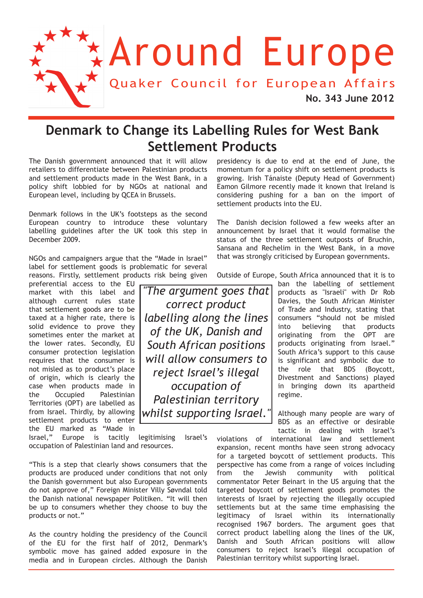

### **Denmark to Change its Labelling Rules for West Bank Settlement Products**

The Danish government announced that it will allow retailers to differentiate between Palestinian products and settlement products made in the West Bank, in a policy shift lobbied for by NGOs at national and European level, including by QCEA in Brussels.

Denmark follows in the UK's footsteps as the second European country to introduce these voluntary labelling guidelines after the UK took this step in December 2009.

NGOs and campaigners argue that the "Made in Israel" label for settlement goods is problematic for several reasons. Firstly, settlement products risk being given

preferential access to the EU market with this label and although current rules state that settlement goods are to be taxed at a higher rate, there is solid evidence to prove they sometimes enter the market at the lower rates. Secondly, EU consumer protection legislation requires that the consumer is not misled as to product's place of origin, which is clearly the case when products made in the Occupied Palestinian Territories (OPT) are labelled as from Israel. Thirdly, by allowing settlement products to enter the EU marked as "Made in

Israel," Europe is tacitly legitimising Israel's occupation of Palestinian land and resources.

"This is a step that clearly shows consumers that the products are produced under conditions that not only the Danish government but also European governments do not approve of," Foreign Minister Villy Søvndal told the Danish national newspaper Politiken. "It will then be up to consumers whether they choose to buy the products or not."

As the country holding the presidency of the Council of the EU for the first half of 2012, Denmark's symbolic move has gained added exposure in the media and in European circles. Although the Danish

presidency is due to end at the end of June, the momentum for a policy shift on settlement products is growing. Irish Tánaiste (Deputy Head of Government) Eamon Gilmore recently made it known that Ireland is considering pushing for a ban on the import of settlement products into the EU.

The Danish decision followed a few weeks after an announcement by Israel that it would formalise the status of the three settlement outposts of Bruchin, Sansana and Rechelim in the West Bank, in a move that was strongly criticised by European governments.

Outside of Europe, South Africa announced that it is to

ban the labelling of settlement products as "Israeli" with Dr Rob Davies, the South African Minister of Trade and Industry, stating that consumers "should not be misled into believing that products originating from the OPT are products originating from Israel." South Africa's support to this cause is significant and symbolic due to the role that BDS (Boycott, Divestment and Sanctions) played in bringing down its apartheid regime.

Although many people are wary of BDS as an effective or desirable tactic in dealing with Israel's

violations of international law and settlement expansion, recent months have seen strong advocacy for a targeted boycott of settlement products. This perspective has come from a range of voices including from the Jewish community with political commentator Peter Beinart in the US arguing that the targeted boycott of settlement goods promotes the interests of Israel by rejecting the illegally occupied settlements but at the same time emphasising the legitimacy of Israel within its internationally recognised 1967 borders. The argument goes that correct product labelling along the lines of the UK, Danish and South African positions will allow consumers to reject Israel's illegal occupation of Palestinian territory whilst supporting Israel.

*"The argument goes that correct product labelling along the lines of the UK, Danish and South African positions will allow consumers to reject Israel's illegal occupation of Palestinian territory whilst supporting Israel."*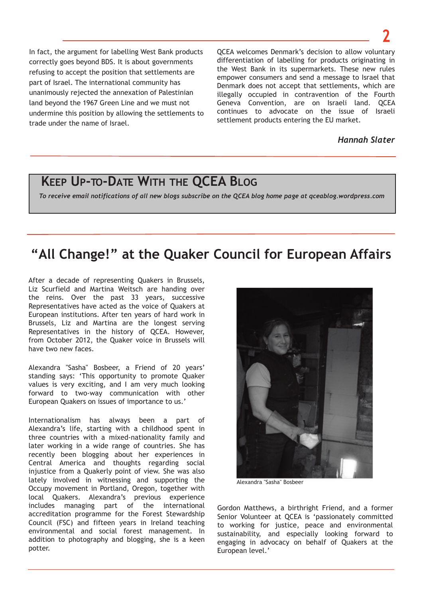In fact, the argument for labelling West Bank products correctly goes beyond BDS. It is about governments refusing to accept the position that settlements are part of Israel. The international community has unanimously rejected the annexation of Palestinian land beyond the 1967 Green Line and we must not undermine this position by allowing the settlements to trade under the name of Israel.

QCEA welcomes Denmark's decision to allow voluntary differentiation of labelling for products originating in the West Bank in its supermarkets. These new rules empower consumers and send a message to Israel that Denmark does not accept that settlements, which are illegally occupied in contravention of the Fourth Geneva Convention, are on Israeli land. QCEA continues to advocate on the issue of Israeli settlement products entering the EU market.

*Hannah Slater*

### **KEEP UP-TO-DATE WITH THE QCEA BLOG**

To receive email notifications of all new blogs subscribe on the QCEA blog home page at qceablog.wordpress.com

## **"All Change!" at the Quaker Council for European Affairs**

After a decade of representing Quakers in Brussels, Liz Scurfield and Martina Weitsch are handing over the reins. Over the past 33 years, successive Representatives have acted as the voice of Quakers at European institutions. After ten years of hard work in Brussels, Liz and Martina are the longest serving Representatives in the history of QCEA. However, from October 2012, the Quaker voice in Brussels will have two new faces.

Alexandra "Sasha" Bosbeer, a Friend of 20 years' standing says: 'This opportunity to promote Quaker values is very exciting, and I am very much looking forward to two-way communication with other European Quakers on issues of importance to us.'

Internationalism has always been a part of Alexandra's life, starting with a childhood spent in three countries with a mixed-nationality family and later working in a wide range of countries. She has recently been blogging about her experiences in Central America and thoughts regarding social injustice from a Quakerly point of view. She was also lately involved in witnessing and supporting the Occupy movement in Portland, Oregon, together with local Quakers. Alexandra's previous experience includes managing part of the international accreditation programme for the Forest Stewardship Council (FSC) and fifteen years in Ireland teaching environmental and social forest management. In addition to photography and blogging, she is a keen potter.



Alexandra "Sasha" Bosbeer

Gordon Matthews, a birthright Friend, and a former Senior Volunteer at QCEA is 'passionately committed to working for justice, peace and environmental sustainability, and especially looking forward to engaging in advocacy on behalf of Quakers at the European level.'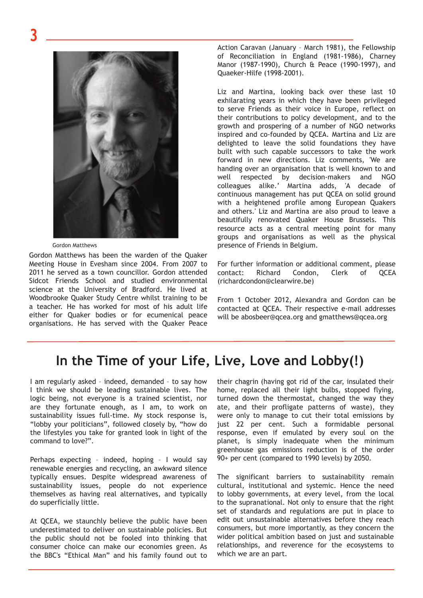**3**



Gordon Matthews

Gordon Matthews has been the warden of the Quaker Meeting House in Evesham since 2004. From 2007 to 2011 he served as a town councillor. Gordon attended Sidcot Friends School and studied environmental science at the University of Bradford. He lived at Woodbrooke Quaker Study Centre whilst training to be a teacher. He has worked for most of his adult life either for Quaker bodies or for ecumenical peace organisations. He has served with the Quaker Peace

Action Caravan (January – March 1981), the Fellowship of Reconciliation in England (1981-1986), Charney Manor (1987-1990), Church & Peace (1990-1997), and Quaeker-Hilfe (1998-2001).

Liz and Martina, looking back over these last 10 exhilarating years in which they have been privileged to serve Friends as their voice in Europe, reflect on their contributions to policy development, and to the growth and prospering of a number of NGO networks inspired and co-founded by QCEA. Martina and Liz are delighted to leave the solid foundations they have built with such capable successors to take the work forward in new directions. Liz comments, 'We are handing over an organisation that is well known to and well respected by decision-makers and NGO colleagues alike.' Martina adds, 'A decade of continuous management has put QCEA on solid ground with a heightened profile among European Quakers and others.' Liz and Martina are also proud to leave a beautifully renovated Quaker House Brussels. This resource acts as a central meeting point for many groups and organisations as well as the physical presence of Friends in Belgium.

For further information or additional comment, please contact: Richard Condon, Clerk of QCEA (richardcondon@clearwire.be)

From 1 October 2012, Alexandra and Gordon can be contacted at QCEA. Their respective e-mail addresses will be abosbeer@qcea.org and gmatthews@qcea.org

### **In the Time of your Life, Live, Love and Lobby(!)**

I am regularly asked – indeed, demanded – to say how I think we should be leading sustainable lives. The logic being, not everyone is a trained scientist, nor are they fortunate enough, as I am, to work on sustainability issues full-time. My stock response is, "lobby your politicians", followed closely by, "how do the lifestyles you take for granted look in light of the command to love?".

Perhaps expecting – indeed, hoping – I would say renewable energies and recycling, an awkward silence typically ensues. Despite widespread awareness of sustainability issues, people do not experience themselves as having real alternatives, and typically do superficially little.

At QCEA, we staunchly believe the public have been underestimated to deliver on sustainable policies. But the public should not be fooled into thinking that consumer choice can make our economies green. As the BBC's "Ethical Man" and his family found out to their chagrin (having got rid of the car, insulated their home, replaced all their light bulbs, stopped flying, turned down the thermostat, changed the way they ate, and their profligate patterns of waste), they were only to manage to cut their total emissions by just 22 per cent. Such a formidable personal response, even if emulated by every soul on the planet, is simply inadequate when the minimum greenhouse gas emissions reduction is of the order 90+ per cent (compared to 1990 levels) by 2050.

The significant barriers to sustainability remain cultural, institutional and systemic. Hence the need to lobby governments, at every level, from the local to the supranational. Not only to ensure that the right set of standards and regulations are put in place to edit out unsustainable alternatives before they reach consumers, but more importantly, as they concern the wider political ambition based on just and sustainable relationships, and reverence for the ecosystems to which we are an part.